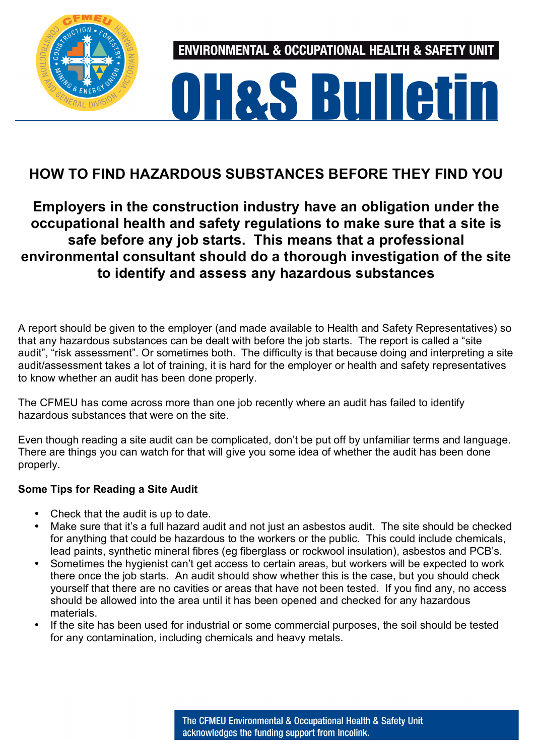

**ENVIRONMENTAL & OCCUPATIONAL HEALTH & SAFETY UNIT** 

# **OH&S Bulletin**

## **HOW TO FIND HAZARDOUS SUBSTANCES BEFORE THEY FIND YOU**

## **Employers in the construction industry have an obligation under the occupational health and safety regulations to make sure that a site is safe before any job starts. This means that a professional environmental consultant should do a thorough investigation of the site to identify and assess any hazardous substances**

A report should be given to the employer (and made available to Health and Safety Representatives) so that any hazardous substances can be dealt with before the job starts. The report is called a "site audit", "risk assessment". Or sometimes both. The difficulty is that because doing and interpreting a site audit/assessment takes a lot of training, it is hard for the employer or health and safety representatives to know whether an audit has been done properly.

The CFMEU has come across more than one job recently where an audit has failed to identify hazardous substances that were on the site.

Even though reading a site audit can be complicated, don't be put off by unfamiliar terms and language. There are things you can watch for that will give you some idea of whether the audit has been done properly.

### **Some Tips for Reading a Site Audit**

- Check that the audit is up to date.
- Make sure that it's a full hazard audit and not just an asbestos audit. The site should be checked for anything that could be hazardous to the workers or the public. This could include chemicals, lead paints, synthetic mineral fibres (eg fiberglass or rockwool insulation), asbestos and PCB's.
- Sometimes the hygienist can't get access to certain areas, but workers will be expected to work there once the job starts. An audit should show whether this is the case, but you should check yourself that there are no cavities or areas that have not been tested. If you find any, no access should be allowed into the area until it has been opened and checked for any hazardous materials.
- If the site has been used for industrial or some commercial purposes, the soil should be tested for any contamination, including chemicals and heavy metals.